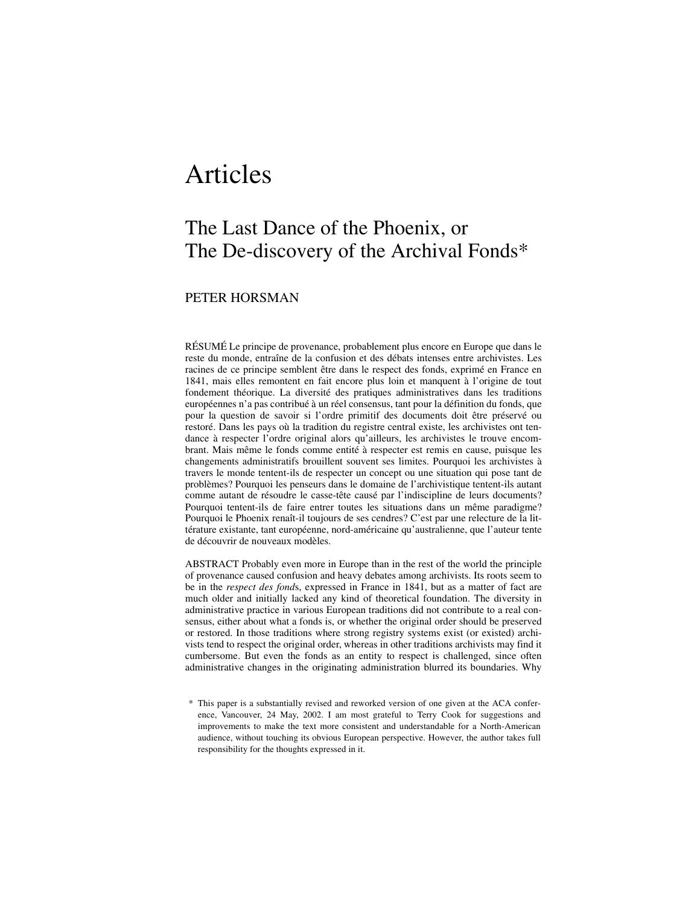# Articles

## The Last Dance of the Phoenix, or The De-discovery of the Archival Fonds\*

### PETER HORSMAN

RÉSUMÉ Le principe de provenance, probablement plus encore en Europe que dans le reste du monde, entraîne de la confusion et des débats intenses entre archivistes. Les racines de ce principe semblent être dans le respect des fonds, exprimé en France en 1841, mais elles remontent en fait encore plus loin et manquent à l'origine de tout fondement théorique. La diversité des pratiques administratives dans les traditions européennes n'a pas contribué à un réel consensus, tant pour la définition du fonds, que pour la question de savoir si l'ordre primitif des documents doit être préservé ou restoré. Dans les pays où la tradition du registre central existe, les archivistes ont tendance à respecter l'ordre original alors qu'ailleurs, les archivistes le trouve encombrant. Mais même le fonds comme entité à respecter est remis en cause, puisque les changements administratifs brouillent souvent ses limites. Pourquoi les archivistes à travers le monde tentent-ils de respecter un concept ou une situation qui pose tant de problèmes? Pourquoi les penseurs dans le domaine de l'archivistique tentent-ils autant comme autant de résoudre le casse-tête causé par l'indiscipline de leurs documents? Pourquoi tentent-ils de faire entrer toutes les situations dans un même paradigme? Pourquoi le Phoenix renaît-il toujours de ses cendres? C'est par une relecture de la littérature existante, tant européenne, nord-américaine qu'australienne, que l'auteur tente de découvrir de nouveaux modèles.

ABSTRACT Probably even more in Europe than in the rest of the world the principle of provenance caused confusion and heavy debates among archivists. Its roots seem to be in the *respect des fond*s, expressed in France in 1841, but as a matter of fact are much older and initially lacked any kind of theoretical foundation. The diversity in administrative practice in various European traditions did not contribute to a real consensus, either about what a fonds is, or whether the original order should be preserved or restored. In those traditions where strong registry systems exist (or existed) archivists tend to respect the original order, whereas in other traditions archivists may find it cumbersome. But even the fonds as an entity to respect is challenged, since often administrative changes in the originating administration blurred its boundaries. Why

\* This paper is a substantially revised and reworked version of one given at the ACA conference, Vancouver, 24 May, 2002. I am most grateful to Terry Cook for suggestions and improvements to make the text more consistent and understandable for a North-American audience, without touching its obvious European perspective. However, the author takes full responsibility for the thoughts expressed in it.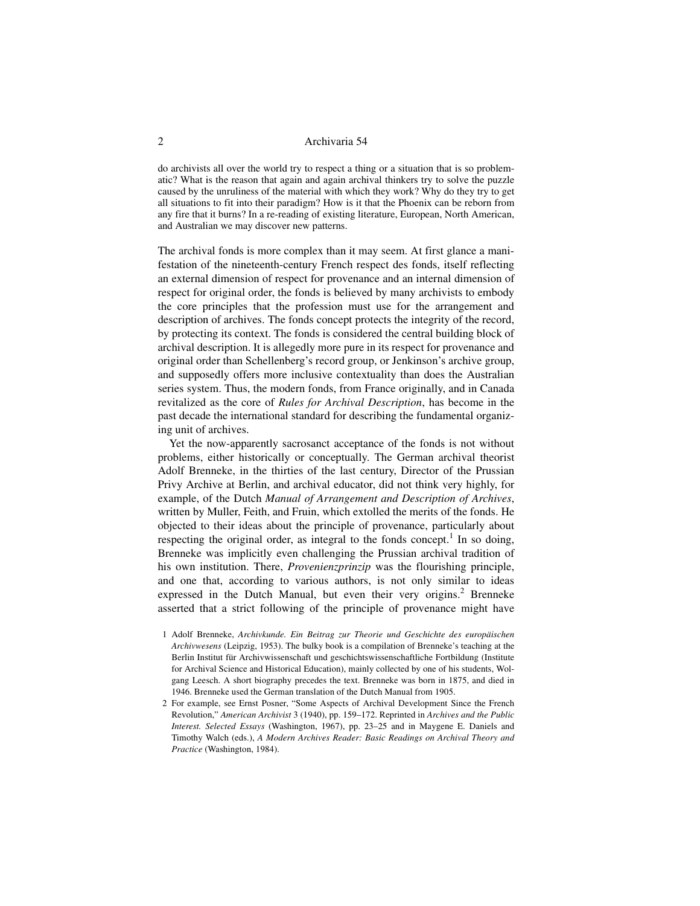do archivists all over the world try to respect a thing or a situation that is so problematic? What is the reason that again and again archival thinkers try to solve the puzzle caused by the unruliness of the material with which they work? Why do they try to get all situations to fit into their paradigm? How is it that the Phoenix can be reborn from any fire that it burns? In a re-reading of existing literature, European, North American, and Australian we may discover new patterns.

The archival fonds is more complex than it may seem. At first glance a manifestation of the nineteenth-century French respect des fonds, itself reflecting an external dimension of respect for provenance and an internal dimension of respect for original order, the fonds is believed by many archivists to embody the core principles that the profession must use for the arrangement and description of archives. The fonds concept protects the integrity of the record, by protecting its context. The fonds is considered the central building block of archival description. It is allegedly more pure in its respect for provenance and original order than Schellenberg's record group, or Jenkinson's archive group, and supposedly offers more inclusive contextuality than does the Australian series system. Thus, the modern fonds, from France originally, and in Canada revitalized as the core of *Rules for Archival Description*, has become in the past decade the international standard for describing the fundamental organizing unit of archives.

Yet the now-apparently sacrosanct acceptance of the fonds is not without problems, either historically or conceptually. The German archival theorist Adolf Brenneke, in the thirties of the last century, Director of the Prussian Privy Archive at Berlin, and archival educator, did not think very highly, for example, of the Dutch *Manual of Arrangement and Description of Archives*, written by Muller, Feith, and Fruin, which extolled the merits of the fonds. He objected to their ideas about the principle of provenance, particularly about respecting the original order, as integral to the fonds concept.<sup>1</sup> In so doing, Brenneke was implicitly even challenging the Prussian archival tradition of his own institution. There, *Provenienzprinzip* was the flourishing principle, and one that, according to various authors, is not only similar to ideas expressed in the Dutch Manual, but even their very origins.<sup>2</sup> Brenneke asserted that a strict following of the principle of provenance might have

- 1 Adolf Brenneke, *Archivkunde. Ein Beitrag zur Theorie und Geschichte des europäischen Archivwesens* (Leipzig, 1953). The bulky book is a compilation of Brenneke's teaching at the Berlin Institut für Archivwissenschaft und geschichtswissenschaftliche Fortbildung (Institute for Archival Science and Historical Education), mainly collected by one of his students, Wolgang Leesch. A short biography precedes the text. Brenneke was born in 1875, and died in 1946. Brenneke used the German translation of the Dutch Manual from 1905.
- 2 For example, see Ernst Posner, "Some Aspects of Archival Development Since the French Revolution," *American Archivist* 3 (1940), pp. 159–172. Reprinted in *Archives and the Public Interest. Selected Essays* (Washington, 1967), pp. 23–25 and in Maygene E. Daniels and Timothy Walch (eds.), *A Modern Archives Reader: Basic Readings on Archival Theory and Practice* (Washington, 1984).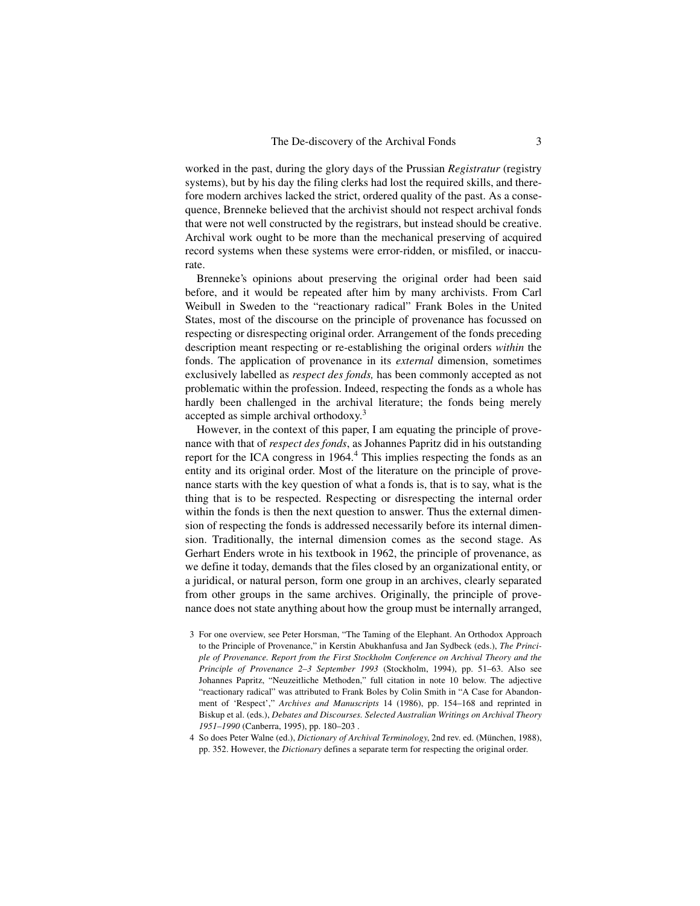worked in the past, during the glory days of the Prussian *Registratur* (registry systems), but by his day the filing clerks had lost the required skills, and therefore modern archives lacked the strict, ordered quality of the past. As a consequence, Brenneke believed that the archivist should not respect archival fonds that were not well constructed by the registrars, but instead should be creative. Archival work ought to be more than the mechanical preserving of acquired record systems when these systems were error-ridden, or misfiled, or inaccurate.

Brenneke's opinions about preserving the original order had been said before, and it would be repeated after him by many archivists. From Carl Weibull in Sweden to the "reactionary radical" Frank Boles in the United States, most of the discourse on the principle of provenance has focussed on respecting or disrespecting original order. Arrangement of the fonds preceding description meant respecting or re-establishing the original orders *within* the fonds. The application of provenance in its *external* dimension, sometimes exclusively labelled as *respect des fonds,* has been commonly accepted as not problematic within the profession. Indeed, respecting the fonds as a whole has hardly been challenged in the archival literature; the fonds being merely accepted as simple archival orthodoxy.<sup>3</sup>

However, in the context of this paper, I am equating the principle of provenance with that of *respect des fonds*, as Johannes Papritz did in his outstanding report for the ICA congress in 1964.<sup>4</sup> This implies respecting the fonds as an entity and its original order. Most of the literature on the principle of provenance starts with the key question of what a fonds is, that is to say, what is the thing that is to be respected. Respecting or disrespecting the internal order within the fonds is then the next question to answer. Thus the external dimension of respecting the fonds is addressed necessarily before its internal dimension. Traditionally, the internal dimension comes as the second stage. As Gerhart Enders wrote in his textbook in 1962, the principle of provenance, as we define it today, demands that the files closed by an organizational entity, or a juridical, or natural person, form one group in an archives, clearly separated from other groups in the same archives. Originally, the principle of provenance does not state anything about how the group must be internally arranged,

- 3 For one overview, see Peter Horsman, "The Taming of the Elephant. An Orthodox Approach to the Principle of Provenance," in Kerstin Abukhanfusa and Jan Sydbeck (eds.), *The Principle of Provenance. Report from the First Stockholm Conference on Archival Theory and the Principle of Provenance 2–3 September 1993* (Stockholm, 1994), pp. 51–63. Also see Johannes Papritz, "Neuzeitliche Methoden," full citation in note 10 below. The adjective "reactionary radical" was attributed to Frank Boles by Colin Smith in "A Case for Abandonment of 'Respect'," *Archives and Manuscripts* 14 (1986), pp. 154–168 and reprinted in Biskup et al. (eds.), *Debates and Discourses. Selected Australian Writings on Archival Theory 1951–1990* (Canberra, 1995), pp. 180–203 .
- 4 So does Peter Walne (ed.), *Dictionary of Archival Terminology*, 2nd rev. ed. (München, 1988), pp. 352. However, the *Dictionary* defines a separate term for respecting the original order.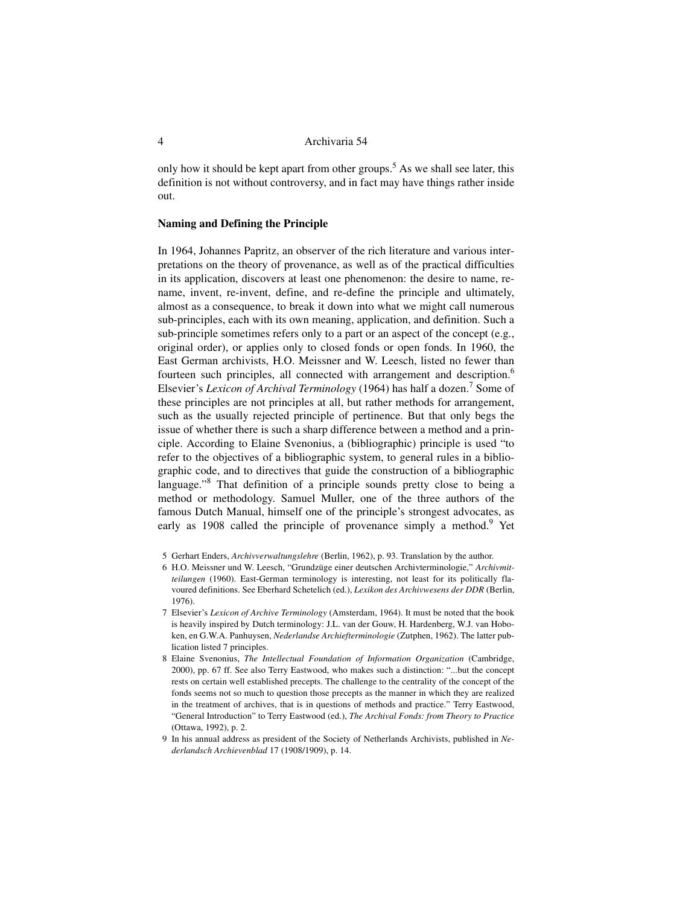only how it should be kept apart from other groups.<sup>5</sup> As we shall see later, this definition is not without controversy, and in fact may have things rather inside out.

#### **Naming and Defining the Principle**

In 1964, Johannes Papritz, an observer of the rich literature and various interpretations on the theory of provenance, as well as of the practical difficulties in its application, discovers at least one phenomenon: the desire to name, rename, invent, re-invent, define, and re-define the principle and ultimately, almost as a consequence, to break it down into what we might call numerous sub-principles, each with its own meaning, application, and definition. Such a sub-principle sometimes refers only to a part or an aspect of the concept (e.g., original order), or applies only to closed fonds or open fonds. In 1960, the East German archivists, H.O. Meissner and W. Leesch, listed no fewer than fourteen such principles, all connected with arrangement and description.<sup>6</sup> Elsevier's *Lexicon of Archival Terminology* (1964) has half a dozen.<sup>7</sup> Some of these principles are not principles at all, but rather methods for arrangement, such as the usually rejected principle of pertinence. But that only begs the issue of whether there is such a sharp difference between a method and a principle. According to Elaine Svenonius, a (bibliographic) principle is used "to refer to the objectives of a bibliographic system, to general rules in a bibliographic code, and to directives that guide the construction of a bibliographic language."<sup>8</sup> That definition of a principle sounds pretty close to being a method or methodology. Samuel Muller, one of the three authors of the famous Dutch Manual, himself one of the principle's strongest advocates, as early as 1908 called the principle of provenance simply a method.<sup>9</sup> Yet

- 5 Gerhart Enders, *Archivverwaltungslehre* (Berlin, 1962), p. 93. Translation by the author.
- 6 H.O. Meissner und W. Leesch, "Grundzüge einer deutschen Archivterminologie," *Archivmitteilungen* (1960). East-German terminology is interesting, not least for its politically flavoured definitions. See Eberhard Schetelich (ed.), *Lexikon des Archivwesens der DDR* (Berlin, 1976).
- 7 Elsevier's *Lexicon of Archive Terminology* (Amsterdam, 1964). It must be noted that the book is heavily inspired by Dutch terminology: J.L. van der Gouw, H. Hardenberg, W.J. van Hoboken, en G.W.A. Panhuysen, *Nederlandse Archiefterminologie* (Zutphen, 1962). The latter publication listed 7 principles.
- 8 Elaine Svenonius, *The Intellectual Foundation of Information Organization* (Cambridge, 2000), pp. 67 ff. See also Terry Eastwood, who makes such a distinction: "...but the concept rests on certain well established precepts. The challenge to the centrality of the concept of the fonds seems not so much to question those precepts as the manner in which they are realized in the treatment of archives, that is in questions of methods and practice." Terry Eastwood, "General Introduction" to Terry Eastwood (ed.), *The Archival Fonds: from Theory to Practice* (Ottawa, 1992), p. 2.
- 9 In his annual address as president of the Society of Netherlands Archivists, published in *Nederlandsch Archievenblad* 17 (1908/1909), p. 14.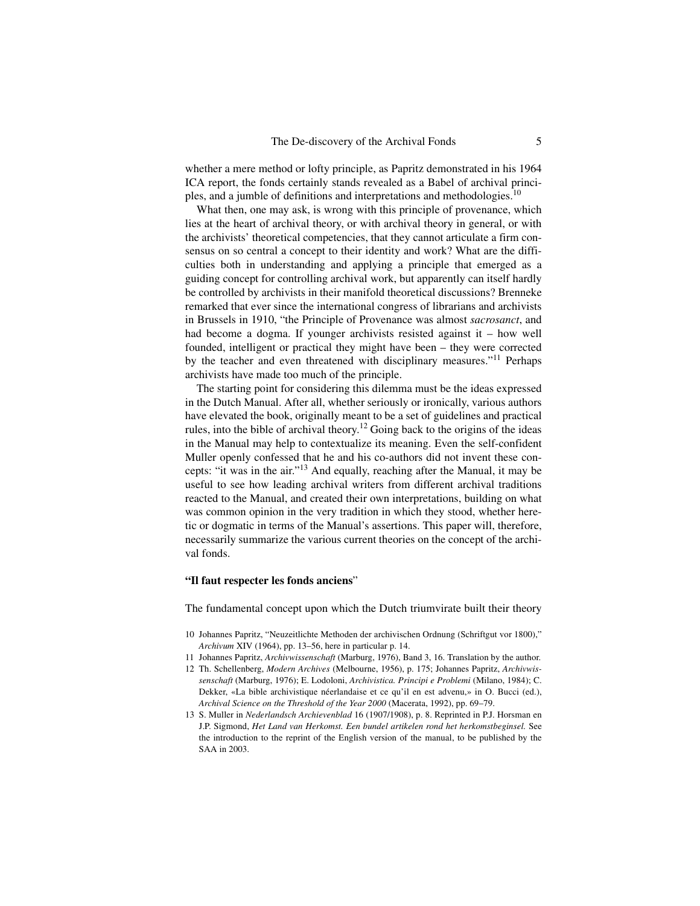whether a mere method or lofty principle, as Papritz demonstrated in his 1964 ICA report, the fonds certainly stands revealed as a Babel of archival principles, and a jumble of definitions and interpretations and methodologies.<sup>10</sup>

What then, one may ask, is wrong with this principle of provenance, which lies at the heart of archival theory, or with archival theory in general, or with the archivists' theoretical competencies, that they cannot articulate a firm consensus on so central a concept to their identity and work? What are the difficulties both in understanding and applying a principle that emerged as a guiding concept for controlling archival work, but apparently can itself hardly be controlled by archivists in their manifold theoretical discussions? Brenneke remarked that ever since the international congress of librarians and archivists in Brussels in 1910, "the Principle of Provenance was almost *sacrosanct*, and had become a dogma. If younger archivists resisted against it – how well founded, intelligent or practical they might have been – they were corrected by the teacher and even threatened with disciplinary measures."<sup>11</sup> Perhaps archivists have made too much of the principle.

The starting point for considering this dilemma must be the ideas expressed in the Dutch Manual. After all, whether seriously or ironically, various authors have elevated the book, originally meant to be a set of guidelines and practical rules, into the bible of archival theory.<sup>12</sup> Going back to the origins of the ideas in the Manual may help to contextualize its meaning. Even the self-confident Muller openly confessed that he and his co-authors did not invent these concepts: "it was in the air."13 And equally, reaching after the Manual, it may be useful to see how leading archival writers from different archival traditions reacted to the Manual, and created their own interpretations, building on what was common opinion in the very tradition in which they stood, whether heretic or dogmatic in terms of the Manual's assertions. This paper will, therefore, necessarily summarize the various current theories on the concept of the archival fonds.

#### **"Il faut respecter les fonds anciens**"

The fundamental concept upon which the Dutch triumvirate built their theory

- 10 Johannes Papritz, "Neuzeitlichte Methoden der archivischen Ordnung (Schriftgut vor 1800)," *Archivum* XIV (1964), pp. 13–56, here in particular p. 14.
- 11 Johannes Papritz, *Archivwissenschaft* (Marburg, 1976), Band 3, 16. Translation by the author.
- 12 Th. Schellenberg, *Modern Archives* (Melbourne, 1956), p. 175; Johannes Papritz, *Archivwissenschaft* (Marburg, 1976); E. Lodoloni, *Archivistica. Principi e Problemi* (Milano, 1984); C. Dekker, «La bible archivistique néerlandaise et ce qu'il en est advenu,» in O. Bucci (ed.), *Archival Science on the Threshold of the Year 2000* (Macerata, 1992), pp. 69–79.
- 13 S. Muller in *Nederlandsch Archievenblad* 16 (1907/1908), p. 8. Reprinted in P.J. Horsman en J.P. Sigmond, *Het Land van Herkomst. Een bundel artikelen rond het herkomstbeginsel.* See the introduction to the reprint of the English version of the manual, to be published by the SAA in 2003.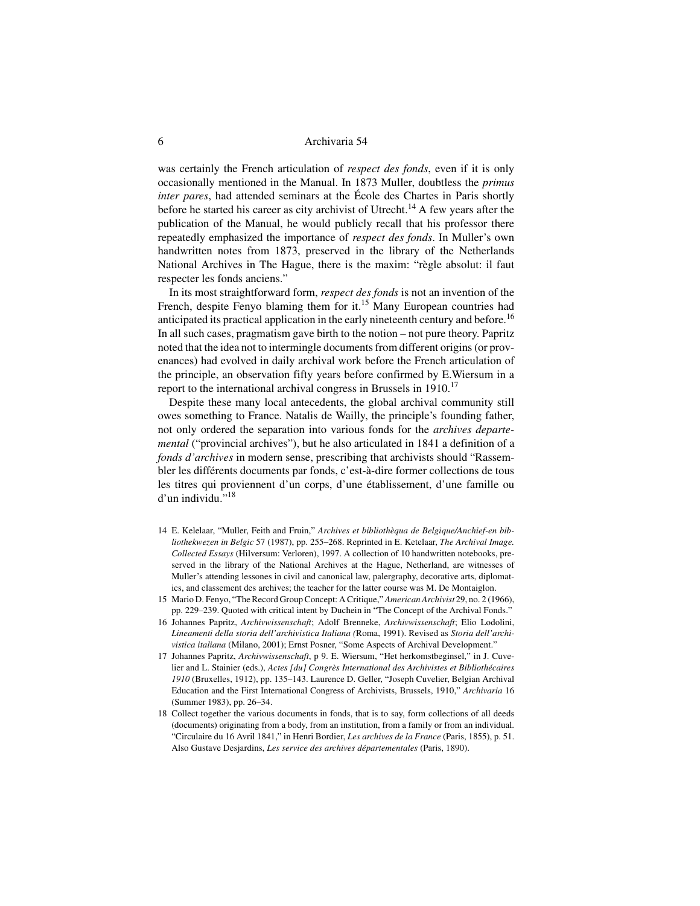was certainly the French articulation of *respect des fonds*, even if it is only occasionally mentioned in the Manual. In 1873 Muller, doubtless the *primus inter pares*, had attended seminars at the École des Chartes in Paris shortly before he started his career as city archivist of Utrecht.<sup>14</sup> A few years after the publication of the Manual, he would publicly recall that his professor there repeatedly emphasized the importance of *respect des fonds*. In Muller's own handwritten notes from 1873, preserved in the library of the Netherlands National Archives in The Hague, there is the maxim: "règle absolut: il faut respecter les fonds anciens."

In its most straightforward form, *respect des fonds* is not an invention of the French, despite Fenyo blaming them for it.<sup>15</sup> Many European countries had anticipated its practical application in the early nineteenth century and before.<sup>16</sup> In all such cases, pragmatism gave birth to the notion – not pure theory. Papritz noted that the idea not to intermingle documents from different origins (or provenances) had evolved in daily archival work before the French articulation of the principle, an observation fifty years before confirmed by E.Wiersum in a report to the international archival congress in Brussels in  $1910$ .<sup>17</sup>

Despite these many local antecedents, the global archival community still owes something to France. Natalis de Wailly, the principle's founding father, not only ordered the separation into various fonds for the *archives departemental* ("provincial archives"), but he also articulated in 1841 a definition of a *fonds d'archives* in modern sense, prescribing that archivists should "Rassembler les différents documents par fonds, c'est-à-dire former collections de tous les titres qui proviennent d'un corps, d'une établissement, d'une famille ou d'un individu."<sup>18</sup>

- 14 E. Kelelaar, "Muller, Feith and Fruin," *Archives et bibliothèqua de Belgique/Anchief-en bibliothekwezen in Belgic* 57 (1987), pp. 255–268. Reprinted in E. Ketelaar, *The Archival Image. Collected Essays* (Hilversum: Verloren), 1997. A collection of 10 handwritten notebooks, preserved in the library of the National Archives at the Hague, Netherland, are witnesses of Muller's attending lessones in civil and canonical law, palergraphy, decorative arts, diplomatics, and classement des archives; the teacher for the latter course was M. De Montaiglon.
- 15 Mario D. Fenyo, "The Record Group Concept: A Critique," *American Archivist* 29, no. 2 (1966), pp. 229–239. Quoted with critical intent by Duchein in "The Concept of the Archival Fonds."
- 16 Johannes Papritz, *Archivwissenschaft*; Adolf Brenneke, *Archivwissenschaft*; Elio Lodolini, *Lineamenti della storia dell'archivistica Italiana (*Roma, 1991). Revised as *Storia dell'archivistica italiana* (Milano, 2001); Ernst Posner, "Some Aspects of Archival Development."
- 17 Johannes Papritz, *Archivwissenschaft*, p 9. E. Wiersum, "Het herkomstbeginsel," in J. Cuvelier and L. Stainier (eds.), *Actes [du] Congrès International des Archivistes et Bibliothécaires 1910* (Bruxelles, 1912), pp. 135–143. Laurence D. Geller, "Joseph Cuvelier, Belgian Archival Education and the First International Congress of Archivists, Brussels, 1910," *Archivaria* 16 (Summer 1983), pp. 26–34.
- 18 Collect together the various documents in fonds, that is to say, form collections of all deeds (documents) originating from a body, from an institution, from a family or from an individual. "Circulaire du 16 Avril 1841," in Henri Bordier, *Les archives de la France* (Paris, 1855), p. 51. Also Gustave Desjardins, *Les service des archives départementales* (Paris, 1890).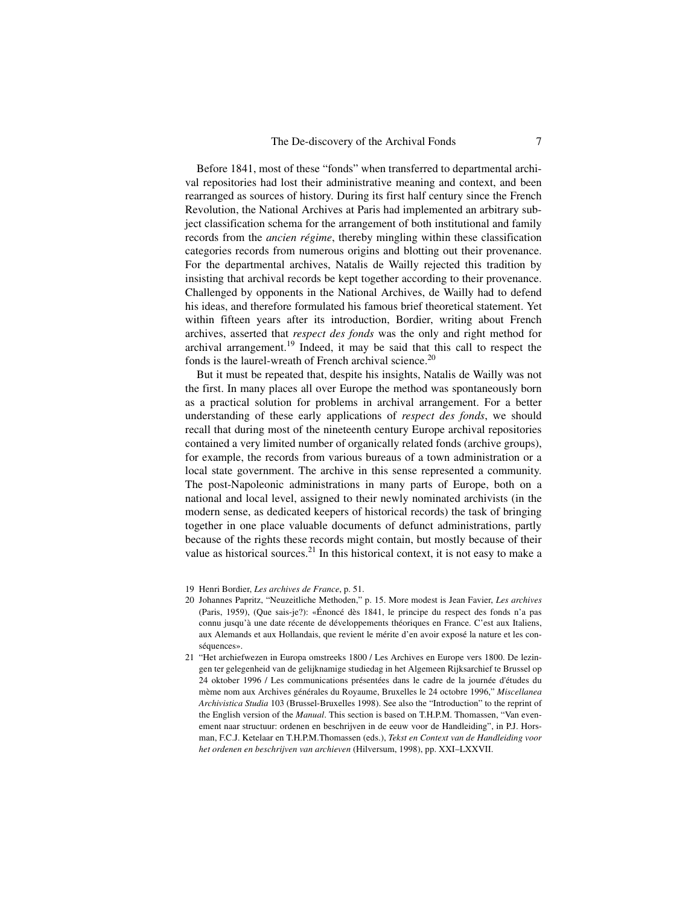Before 1841, most of these "fonds" when transferred to departmental archival repositories had lost their administrative meaning and context, and been rearranged as sources of history. During its first half century since the French Revolution, the National Archives at Paris had implemented an arbitrary subject classification schema for the arrangement of both institutional and family records from the *ancien régime*, thereby mingling within these classification categories records from numerous origins and blotting out their provenance. For the departmental archives, Natalis de Wailly rejected this tradition by insisting that archival records be kept together according to their provenance. Challenged by opponents in the National Archives, de Wailly had to defend his ideas, and therefore formulated his famous brief theoretical statement. Yet within fifteen years after its introduction, Bordier, writing about French archives, asserted that *respect des fonds* was the only and right method for archival arrangement.<sup>19</sup> Indeed, it may be said that this call to respect the fonds is the laurel-wreath of French archival science.<sup>20</sup>

But it must be repeated that, despite his insights, Natalis de Wailly was not the first. In many places all over Europe the method was spontaneously born as a practical solution for problems in archival arrangement. For a better understanding of these early applications of *respect des fonds*, we should recall that during most of the nineteenth century Europe archival repositories contained a very limited number of organically related fonds (archive groups), for example, the records from various bureaus of a town administration or a local state government. The archive in this sense represented a community. The post-Napoleonic administrations in many parts of Europe, both on a national and local level, assigned to their newly nominated archivists (in the modern sense, as dedicated keepers of historical records) the task of bringing together in one place valuable documents of defunct administrations, partly because of the rights these records might contain, but mostly because of their value as historical sources. $^{21}$  In this historical context, it is not easy to make a

<sup>19</sup> Henri Bordier, *Les archives de France*, p. 51.

<sup>20</sup> Johannes Papritz, "Neuzeitliche Methoden," p. 15. More modest is Jean Favier, *Les archives* (Paris, 1959), (Que sais-je?): «Énoncé dès 1841, le principe du respect des fonds n'a pas connu jusqu'à une date récente de développements théoriques en France. C'est aux Italiens, aux Alemands et aux Hollandais, que revient le mérite d'en avoir exposé la nature et les conséquences».

<sup>21</sup> "Het archiefwezen in Europa omstreeks 1800 / Les Archives en Europe vers 1800. De lezingen ter gelegenheid van de gelijknamige studiedag in het Algemeen Rijksarchief te Brussel op 24 oktober 1996 / Les communications présentées dans le cadre de la journée d'études du mème nom aux Archives générales du Royaume, Bruxelles le 24 octobre 1996," *Miscellanea Archivistica Studia* 103 (Brussel-Bruxelles 1998). See also the "Introduction" to the reprint of the English version of the *Manual*. This section is based on T.H.P.M. Thomassen, "Van evenement naar structuur: ordenen en beschrijven in de eeuw voor de Handleiding", in P.J. Horsman, F.C.J. Ketelaar en T.H.P.M.Thomassen (eds.), *Tekst en Context van de Handleiding voor het ordenen en beschrijven van archieven* (Hilversum, 1998), pp. XXI–LXXVII.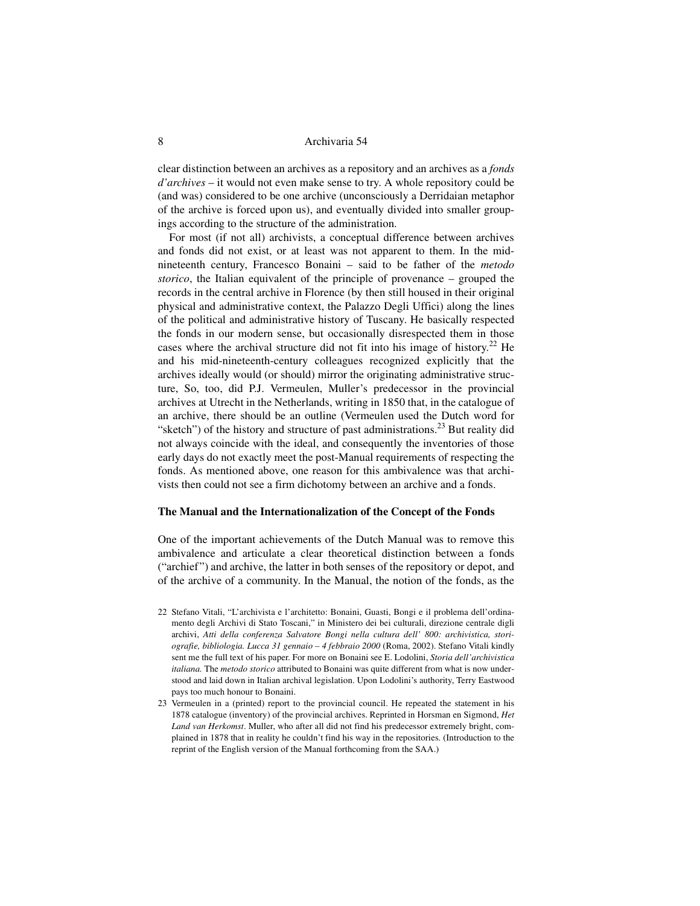clear distinction between an archives as a repository and an archives as a *fonds d'archives* – it would not even make sense to try. A whole repository could be (and was) considered to be one archive (unconsciously a Derridaian metaphor of the archive is forced upon us), and eventually divided into smaller groupings according to the structure of the administration.

For most (if not all) archivists, a conceptual difference between archives and fonds did not exist, or at least was not apparent to them. In the midnineteenth century, Francesco Bonaini – said to be father of the *metodo storico*, the Italian equivalent of the principle of provenance – grouped the records in the central archive in Florence (by then still housed in their original physical and administrative context, the Palazzo Degli Uffici) along the lines of the political and administrative history of Tuscany. He basically respected the fonds in our modern sense, but occasionally disrespected them in those cases where the archival structure did not fit into his image of history.<sup>22</sup> He and his mid-nineteenth-century colleagues recognized explicitly that the archives ideally would (or should) mirror the originating administrative structure, So, too, did P.J. Vermeulen, Muller's predecessor in the provincial archives at Utrecht in the Netherlands, writing in 1850 that, in the catalogue of an archive, there should be an outline (Vermeulen used the Dutch word for "sketch") of the history and structure of past administrations.<sup>23</sup> But reality did not always coincide with the ideal, and consequently the inventories of those early days do not exactly meet the post-Manual requirements of respecting the fonds. As mentioned above, one reason for this ambivalence was that archivists then could not see a firm dichotomy between an archive and a fonds.

#### **The Manual and the Internationalization of the Concept of the Fonds**

One of the important achievements of the Dutch Manual was to remove this ambivalence and articulate a clear theoretical distinction between a fonds ("archief") and archive, the latter in both senses of the repository or depot, and of the archive of a community. In the Manual, the notion of the fonds, as the

- 22 Stefano Vitali, "L'archivista e l'architetto: Bonaini, Guasti, Bongi e il problema dell'ordinamento degli Archivi di Stato Toscani," in Ministero dei bei culturali, direzione centrale digli archivi, *Atti della conferenza Salvatore Bongi nella cultura dell' 800: archivistica, storiografie, bibliologia. Lucca 31 gennaio – 4 febbraio 2000* (Roma, 2002). Stefano Vitali kindly sent me the full text of his paper. For more on Bonaini see E. Lodolini, *Storia dell'archivistica italiana.* The *metodo storico* attributed to Bonaini was quite different from what is now understood and laid down in Italian archival legislation. Upon Lodolini's authority, Terry Eastwood pays too much honour to Bonaini.
- 23 Vermeulen in a (printed) report to the provincial council. He repeated the statement in his 1878 catalogue (inventory) of the provincial archives. Reprinted in Horsman en Sigmond, *Het Land van Herkomst*. Muller, who after all did not find his predecessor extremely bright, complained in 1878 that in reality he couldn't find his way in the repositories. (Introduction to the reprint of the English version of the Manual forthcoming from the SAA.)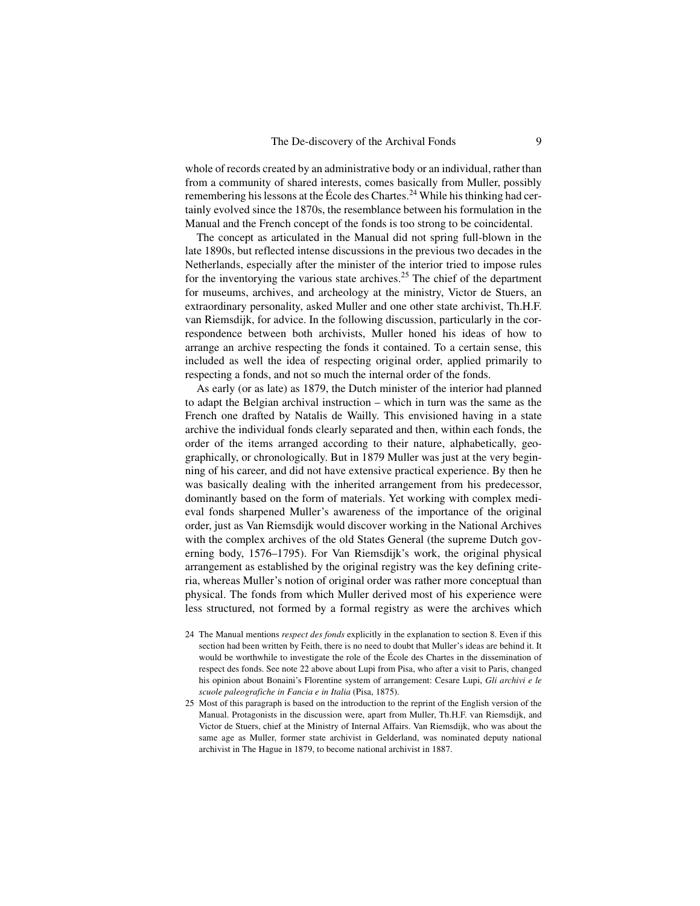whole of records created by an administrative body or an individual, rather than from a community of shared interests, comes basically from Muller, possibly remembering his lessons at the École des Chartes.<sup>24</sup> While his thinking had certainly evolved since the 1870s, the resemblance between his formulation in the Manual and the French concept of the fonds is too strong to be coincidental.

The concept as articulated in the Manual did not spring full-blown in the late 1890s, but reflected intense discussions in the previous two decades in the Netherlands, especially after the minister of the interior tried to impose rules for the inventorying the various state archives.<sup>25</sup> The chief of the department for museums, archives, and archeology at the ministry, Victor de Stuers, an extraordinary personality, asked Muller and one other state archivist, Th.H.F. van Riemsdijk, for advice. In the following discussion, particularly in the correspondence between both archivists, Muller honed his ideas of how to arrange an archive respecting the fonds it contained. To a certain sense, this included as well the idea of respecting original order, applied primarily to respecting a fonds, and not so much the internal order of the fonds.

As early (or as late) as 1879, the Dutch minister of the interior had planned to adapt the Belgian archival instruction – which in turn was the same as the French one drafted by Natalis de Wailly. This envisioned having in a state archive the individual fonds clearly separated and then, within each fonds, the order of the items arranged according to their nature, alphabetically, geographically, or chronologically. But in 1879 Muller was just at the very beginning of his career, and did not have extensive practical experience. By then he was basically dealing with the inherited arrangement from his predecessor, dominantly based on the form of materials. Yet working with complex medieval fonds sharpened Muller's awareness of the importance of the original order, just as Van Riemsdijk would discover working in the National Archives with the complex archives of the old States General (the supreme Dutch governing body, 1576–1795). For Van Riemsdijk's work, the original physical arrangement as established by the original registry was the key defining criteria, whereas Muller's notion of original order was rather more conceptual than physical. The fonds from which Muller derived most of his experience were less structured, not formed by a formal registry as were the archives which

- 24 The Manual mentions *respect des fonds* explicitly in the explanation to section 8. Even if this section had been written by Feith, there is no need to doubt that Muller's ideas are behind it. It would be worthwhile to investigate the role of the École des Chartes in the dissemination of respect des fonds. See note 22 above about Lupi from Pisa, who after a visit to Paris, changed his opinion about Bonaini's Florentine system of arrangement: Cesare Lupi, *Gli archivi e le scuole paleografiche in Fancia e in Italia* (Pisa, 1875).
- 25 Most of this paragraph is based on the introduction to the reprint of the English version of the Manual. Protagonists in the discussion were, apart from Muller, Th.H.F. van Riemsdijk, and Victor de Stuers, chief at the Ministry of Internal Affairs. Van Riemsdijk, who was about the same age as Muller, former state archivist in Gelderland, was nominated deputy national archivist in The Hague in 1879, to become national archivist in 1887.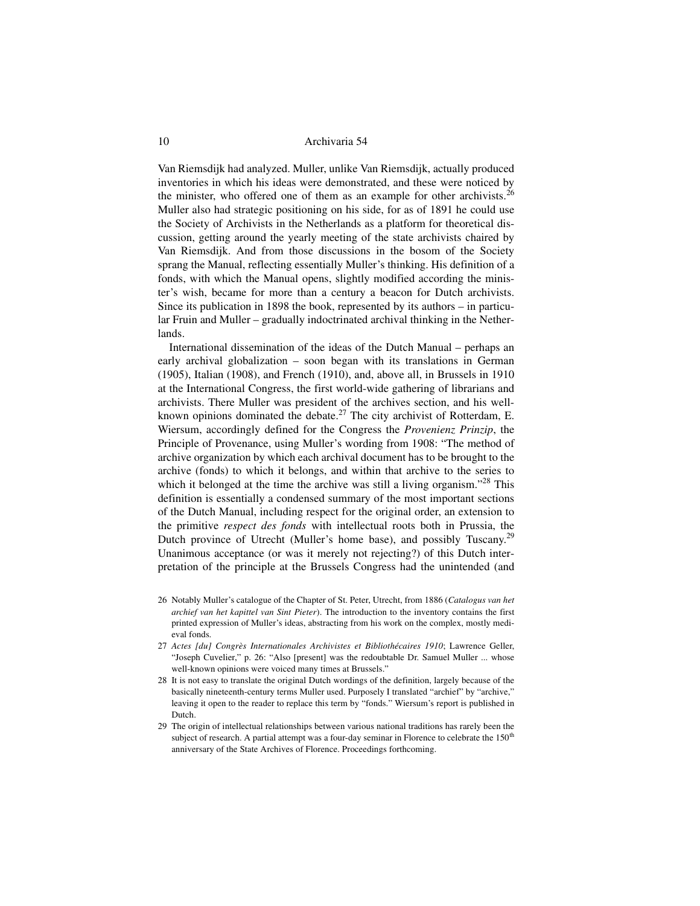Van Riemsdijk had analyzed. Muller, unlike Van Riemsdijk, actually produced inventories in which his ideas were demonstrated, and these were noticed by the minister, who offered one of them as an example for other archivists.<sup>26</sup> Muller also had strategic positioning on his side, for as of 1891 he could use the Society of Archivists in the Netherlands as a platform for theoretical discussion, getting around the yearly meeting of the state archivists chaired by Van Riemsdijk. And from those discussions in the bosom of the Society sprang the Manual, reflecting essentially Muller's thinking. His definition of a fonds, with which the Manual opens, slightly modified according the minister's wish, became for more than a century a beacon for Dutch archivists. Since its publication in 1898 the book, represented by its authors – in particular Fruin and Muller – gradually indoctrinated archival thinking in the Netherlands.

International dissemination of the ideas of the Dutch Manual – perhaps an early archival globalization – soon began with its translations in German (1905), Italian (1908), and French (1910), and, above all, in Brussels in 1910 at the International Congress, the first world-wide gathering of librarians and archivists. There Muller was president of the archives section, and his wellknown opinions dominated the debate.<sup>27</sup> The city archivist of Rotterdam, E. Wiersum, accordingly defined for the Congress the *Provenienz Prinzip*, the Principle of Provenance, using Muller's wording from 1908: "The method of archive organization by which each archival document has to be brought to the archive (fonds) to which it belongs, and within that archive to the series to which it belonged at the time the archive was still a living organism."<sup>28</sup> This definition is essentially a condensed summary of the most important sections of the Dutch Manual, including respect for the original order, an extension to the primitive *respect des fonds* with intellectual roots both in Prussia, the Dutch province of Utrecht (Muller's home base), and possibly Tuscany.29 Unanimous acceptance (or was it merely not rejecting?) of this Dutch interpretation of the principle at the Brussels Congress had the unintended (and

- 26 Notably Muller's catalogue of the Chapter of St. Peter, Utrecht, from 1886 (*Catalogus van het archief van het kapittel van Sint Pieter*). The introduction to the inventory contains the first printed expression of Muller's ideas, abstracting from his work on the complex, mostly medieval fonds.
- 27 *Actes [du] Congrès Internationales Archivistes et Bibliothécaires 1910*; Lawrence Geller, "Joseph Cuvelier," p. 26: "Also [present] was the redoubtable Dr. Samuel Muller ... whose well-known opinions were voiced many times at Brussels."
- 28 It is not easy to translate the original Dutch wordings of the definition, largely because of the basically nineteenth-century terms Muller used. Purposely I translated "archief" by "archive," leaving it open to the reader to replace this term by "fonds." Wiersum's report is published in Dutch.
- 29 The origin of intellectual relationships between various national traditions has rarely been the subject of research. A partial attempt was a four-day seminar in Florence to celebrate the  $150<sup>th</sup>$ anniversary of the State Archives of Florence. Proceedings forthcoming.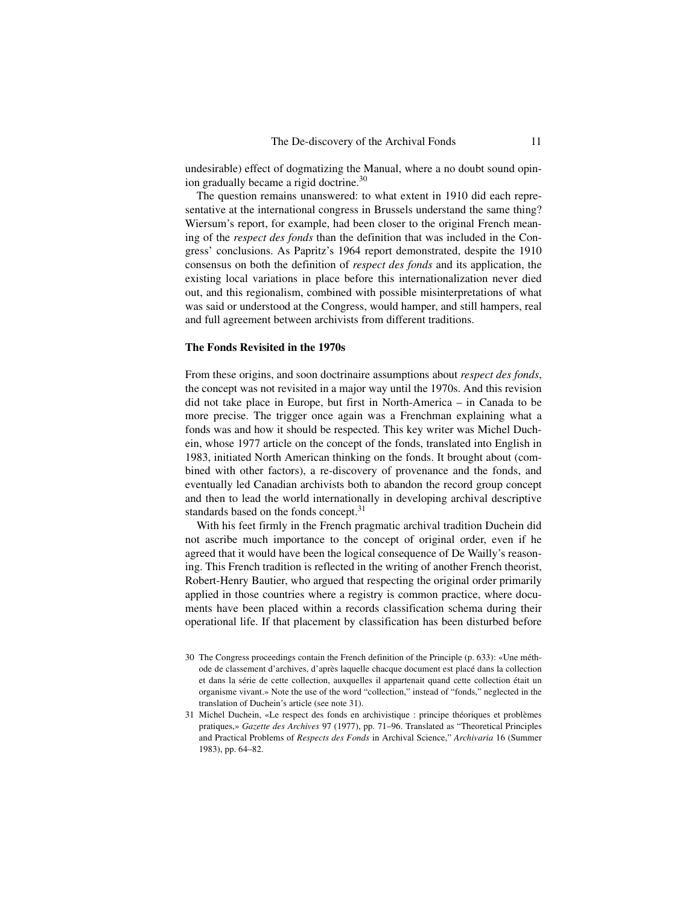undesirable) effect of dogmatizing the Manual, where a no doubt sound opinion gradually became a rigid doctrine.<sup>30</sup>

The question remains unanswered: to what extent in 1910 did each representative at the international congress in Brussels understand the same thing? Wiersum's report, for example, had been closer to the original French meaning of the *respect des fonds* than the definition that was included in the Congress' conclusions. As Papritz's 1964 report demonstrated, despite the 1910 consensus on both the definition of *respect des fonds* and its application, the existing local variations in place before this internationalization never died out, and this regionalism, combined with possible misinterpretations of what was said or understood at the Congress, would hamper, and still hampers, real and full agreement between archivists from different traditions.

#### **The Fonds Revisited in the 1970s**

From these origins, and soon doctrinaire assumptions about *respect des fonds*, the concept was not revisited in a major way until the 1970s. And this revision did not take place in Europe, but first in North-America – in Canada to be more precise. The trigger once again was a Frenchman explaining what a fonds was and how it should be respected. This key writer was Michel Duchein, whose 1977 article on the concept of the fonds, translated into English in 1983, initiated North American thinking on the fonds. It brought about (combined with other factors), a re-discovery of provenance and the fonds, and eventually led Canadian archivists both to abandon the record group concept and then to lead the world internationally in developing archival descriptive standards based on the fonds concept.<sup>31</sup>

With his feet firmly in the French pragmatic archival tradition Duchein did not ascribe much importance to the concept of original order, even if he agreed that it would have been the logical consequence of De Wailly's reasoning. This French tradition is reflected in the writing of another French theorist, Robert-Henry Bautier, who argued that respecting the original order primarily applied in those countries where a registry is common practice, where documents have been placed within a records classification schema during their operational life. If that placement by classification has been disturbed before

<sup>30</sup> The Congress proceedings contain the French definition of the Principle (p. 633): «Une méthode de classement d'archives, d'après laquelle chacque document est placé dans la collection et dans la série de cette collection, auxquelles il appartenait quand cette collection était un organisme vivant.» Note the use of the word "collection," instead of "fonds," neglected in the translation of Duchein's article (see note 31).

<sup>31</sup> Michel Duchein, «Le respect des fonds en archivistique : principe théoriques et problèmes pratiques,» *Gazette des Archives* 97 (1977), pp. 71–96. Translated as "Theoretical Principles and Practical Problems of *Respects des Fonds* in Archival Science," *Archivaria* 16 (Summer 1983), pp. 64–82.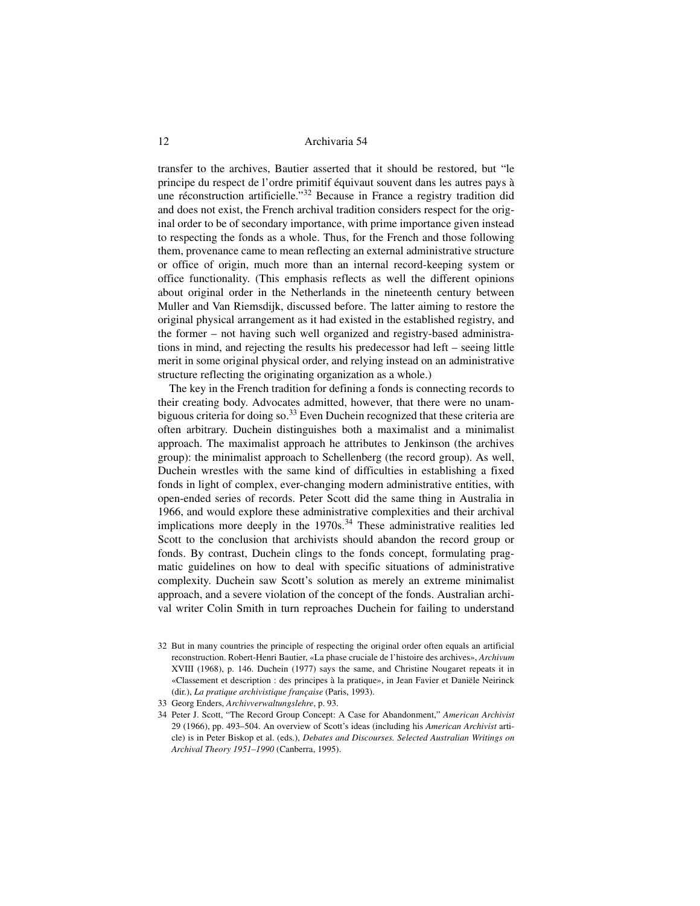transfer to the archives, Bautier asserted that it should be restored, but "le principe du respect de l'ordre primitif équivaut souvent dans les autres pays à une réconstruction artificielle."32 Because in France a registry tradition did and does not exist, the French archival tradition considers respect for the original order to be of secondary importance, with prime importance given instead to respecting the fonds as a whole. Thus, for the French and those following them, provenance came to mean reflecting an external administrative structure or office of origin, much more than an internal record-keeping system or office functionality. (This emphasis reflects as well the different opinions about original order in the Netherlands in the nineteenth century between Muller and Van Riemsdijk, discussed before. The latter aiming to restore the original physical arrangement as it had existed in the established registry, and the former – not having such well organized and registry-based administrations in mind, and rejecting the results his predecessor had left – seeing little merit in some original physical order, and relying instead on an administrative structure reflecting the originating organization as a whole.)

The key in the French tradition for defining a fonds is connecting records to their creating body. Advocates admitted, however, that there were no unambiguous criteria for doing so.<sup>33</sup> Even Duchein recognized that these criteria are often arbitrary. Duchein distinguishes both a maximalist and a minimalist approach. The maximalist approach he attributes to Jenkinson (the archives group): the minimalist approach to Schellenberg (the record group). As well, Duchein wrestles with the same kind of difficulties in establishing a fixed fonds in light of complex, ever-changing modern administrative entities, with open-ended series of records. Peter Scott did the same thing in Australia in 1966, and would explore these administrative complexities and their archival implications more deeply in the  $1970s<sup>34</sup>$  These administrative realities led Scott to the conclusion that archivists should abandon the record group or fonds. By contrast, Duchein clings to the fonds concept, formulating pragmatic guidelines on how to deal with specific situations of administrative complexity. Duchein saw Scott's solution as merely an extreme minimalist approach, and a severe violation of the concept of the fonds. Australian archival writer Colin Smith in turn reproaches Duchein for failing to understand

- 32 But in many countries the principle of respecting the original order often equals an artificial reconstruction. Robert-Henri Bautier, «La phase cruciale de l'histoire des archives», *Archivum* XVIII (1968), p. 146. Duchein (1977) says the same, and Christine Nougaret repeats it in «Classement et description : des principes à la pratique», in Jean Favier et Daniële Neirinck (dir.), *La pratique archivistique française* (Paris, 1993).
- 33 Georg Enders, *Archivverwaltungslehre*, p. 93.

<sup>34</sup> Peter J. Scott, "The Record Group Concept: A Case for Abandonment," *American Archivist* 29 (1966), pp. 493–504. An overview of Scott's ideas (including his *American Archivist* article) is in Peter Biskop et al. (eds.), *Debates and Discourses. Selected Australian Writings on Archival Theory 1951–1990* (Canberra, 1995).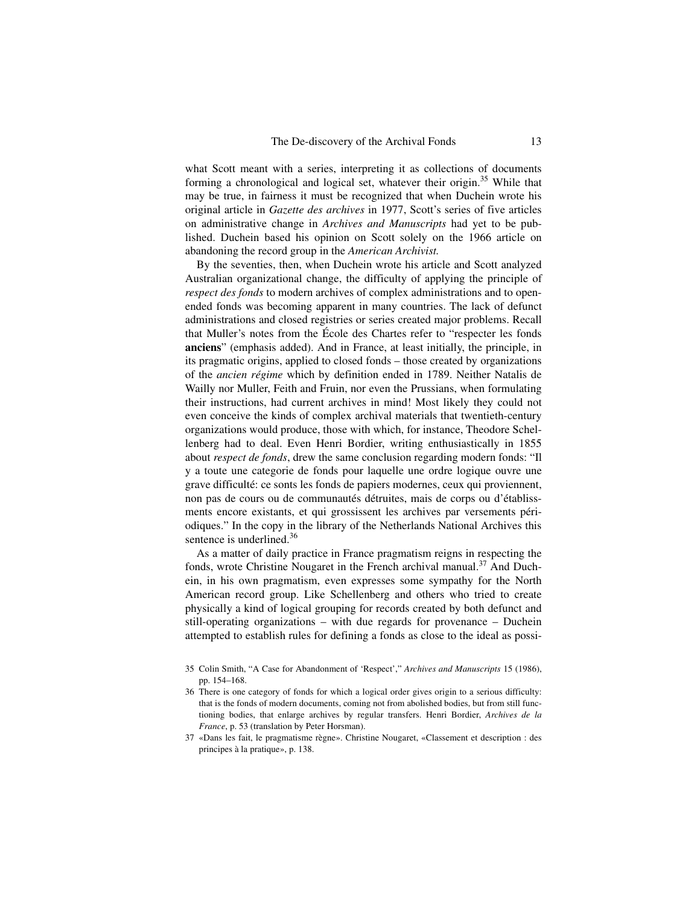what Scott meant with a series, interpreting it as collections of documents forming a chronological and logical set, whatever their origin.<sup>35</sup> While that may be true, in fairness it must be recognized that when Duchein wrote his original article in *Gazette des archives* in 1977, Scott's series of five articles on administrative change in *Archives and Manuscripts* had yet to be published. Duchein based his opinion on Scott solely on the 1966 article on abandoning the record group in the *American Archivist.*

By the seventies, then, when Duchein wrote his article and Scott analyzed Australian organizational change, the difficulty of applying the principle of *respect des fonds* to modern archives of complex administrations and to openended fonds was becoming apparent in many countries. The lack of defunct administrations and closed registries or series created major problems. Recall that Muller's notes from the École des Chartes refer to "respecter les fonds **anciens**" (emphasis added). And in France, at least initially, the principle, in its pragmatic origins, applied to closed fonds – those created by organizations of the *ancien régime* which by definition ended in 1789. Neither Natalis de Wailly nor Muller, Feith and Fruin, nor even the Prussians, when formulating their instructions, had current archives in mind! Most likely they could not even conceive the kinds of complex archival materials that twentieth-century organizations would produce, those with which, for instance, Theodore Schellenberg had to deal. Even Henri Bordier, writing enthusiastically in 1855 about *respect de fonds*, drew the same conclusion regarding modern fonds: "Il y a toute une categorie de fonds pour laquelle une ordre logique ouvre une grave difficulté: ce sonts les fonds de papiers modernes, ceux qui proviennent, non pas de cours ou de communautés détruites, mais de corps ou d'établissments encore existants, et qui grossissent les archives par versements périodiques." In the copy in the library of the Netherlands National Archives this sentence is underlined.<sup>36</sup>

As a matter of daily practice in France pragmatism reigns in respecting the fonds, wrote Christine Nougaret in the French archival manual.<sup>37</sup> And Duchein, in his own pragmatism, even expresses some sympathy for the North American record group. Like Schellenberg and others who tried to create physically a kind of logical grouping for records created by both defunct and still-operating organizations – with due regards for provenance – Duchein attempted to establish rules for defining a fonds as close to the ideal as possi-

<sup>35</sup> Colin Smith, "A Case for Abandonment of 'Respect'," *Archives and Manuscripts* 15 (1986), pp. 154–168.

<sup>36</sup> There is one category of fonds for which a logical order gives origin to a serious difficulty: that is the fonds of modern documents, coming not from abolished bodies, but from still functioning bodies, that enlarge archives by regular transfers. Henri Bordier, *Archives de la France*, p. 53 (translation by Peter Horsman).

<sup>37</sup> «Dans les fait, le pragmatisme règne». Christine Nougaret, «Classement et description : des principes à la pratique», p. 138.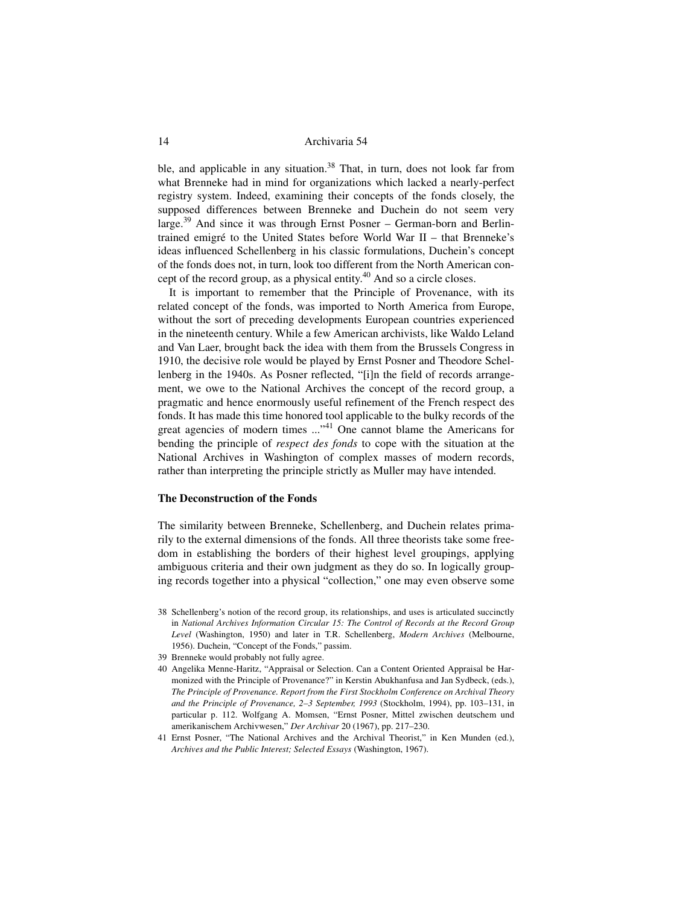ble, and applicable in any situation.<sup>38</sup> That, in turn, does not look far from what Brenneke had in mind for organizations which lacked a nearly-perfect registry system. Indeed, examining their concepts of the fonds closely, the supposed differences between Brenneke and Duchein do not seem very large.<sup>39</sup> And since it was through Ernst Posner – German-born and Berlintrained emigré to the United States before World War II – that Brenneke's ideas influenced Schellenberg in his classic formulations, Duchein's concept of the fonds does not, in turn, look too different from the North American concept of the record group, as a physical entity.<sup>40</sup> And so a circle closes.

It is important to remember that the Principle of Provenance, with its related concept of the fonds, was imported to North America from Europe, without the sort of preceding developments European countries experienced in the nineteenth century. While a few American archivists, like Waldo Leland and Van Laer, brought back the idea with them from the Brussels Congress in 1910, the decisive role would be played by Ernst Posner and Theodore Schellenberg in the 1940s. As Posner reflected, "[i]n the field of records arrangement, we owe to the National Archives the concept of the record group, a pragmatic and hence enormously useful refinement of the French respect des fonds. It has made this time honored tool applicable to the bulky records of the great agencies of modern times ..."41 One cannot blame the Americans for bending the principle of *respect des fonds* to cope with the situation at the National Archives in Washington of complex masses of modern records, rather than interpreting the principle strictly as Muller may have intended.

#### **The Deconstruction of the Fonds**

The similarity between Brenneke, Schellenberg, and Duchein relates primarily to the external dimensions of the fonds. All three theorists take some freedom in establishing the borders of their highest level groupings, applying ambiguous criteria and their own judgment as they do so. In logically grouping records together into a physical "collection," one may even observe some

- 38 Schellenberg's notion of the record group, its relationships, and uses is articulated succinctly in *National Archives Information Circular 15: The Control of Records at the Record Group Level* (Washington, 1950) and later in T.R. Schellenberg, *Modern Archives* (Melbourne, 1956). Duchein, "Concept of the Fonds," passim.
- 39 Brenneke would probably not fully agree.
- 40 Angelika Menne-Haritz, "Appraisal or Selection. Can a Content Oriented Appraisal be Harmonized with the Principle of Provenance?" in Kerstin Abukhanfusa and Jan Sydbeck, (eds.), *The Principle of Provenance. Report from the First Stockholm Conference on Archival Theory and the Principle of Provenance, 2–3 September, 1993* (Stockholm, 1994), pp. 103–131, in particular p. 112. Wolfgang A. Momsen, "Ernst Posner, Mittel zwischen deutschem und amerikanischem Archivwesen," *Der Archivar* 20 (1967), pp. 217–230.
- 41 Ernst Posner, "The National Archives and the Archival Theorist," in Ken Munden (ed.), *Archives and the Public Interest; Selected Essays* (Washington, 1967).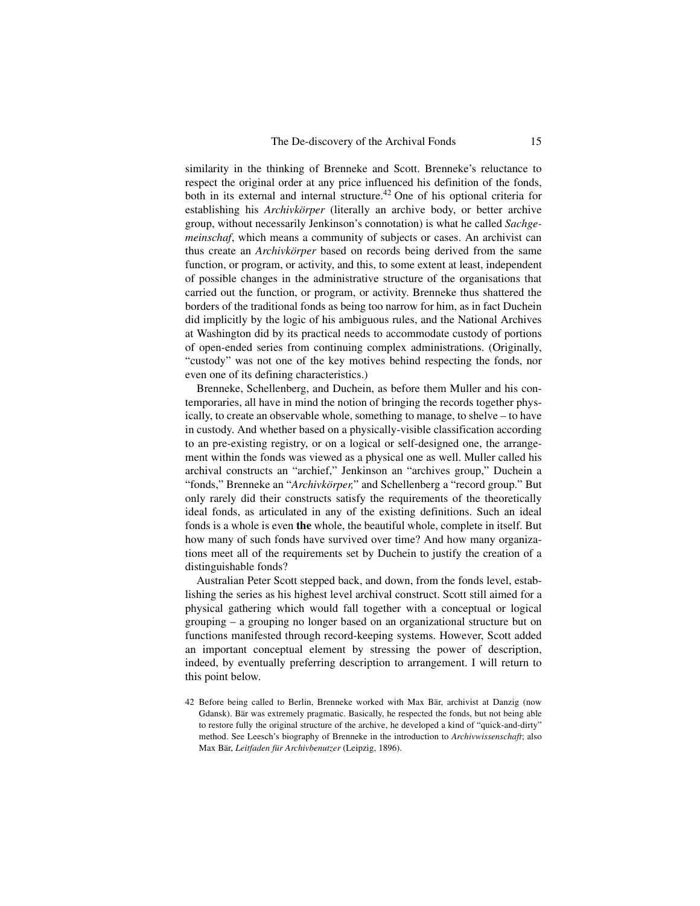similarity in the thinking of Brenneke and Scott. Brenneke's reluctance to respect the original order at any price influenced his definition of the fonds, both in its external and internal structure.<sup>42</sup> One of his optional criteria for establishing his *Archivkörper* (literally an archive body, or better archive group, without necessarily Jenkinson's connotation) is what he called *Sachgemeinschaf*, which means a community of subjects or cases. An archivist can thus create an *Archivkörper* based on records being derived from the same function, or program, or activity, and this, to some extent at least, independent of possible changes in the administrative structure of the organisations that carried out the function, or program, or activity. Brenneke thus shattered the borders of the traditional fonds as being too narrow for him, as in fact Duchein did implicitly by the logic of his ambiguous rules, and the National Archives at Washington did by its practical needs to accommodate custody of portions of open-ended series from continuing complex administrations. (Originally, "custody" was not one of the key motives behind respecting the fonds, nor even one of its defining characteristics.)

Brenneke, Schellenberg, and Duchein, as before them Muller and his contemporaries, all have in mind the notion of bringing the records together physically, to create an observable whole, something to manage, to shelve – to have in custody. And whether based on a physically-visible classification according to an pre-existing registry, or on a logical or self-designed one, the arrangement within the fonds was viewed as a physical one as well. Muller called his archival constructs an "archief," Jenkinson an "archives group," Duchein a "fonds," Brenneke an "*Archivkörper,*" and Schellenberg a "record group." But only rarely did their constructs satisfy the requirements of the theoretically ideal fonds, as articulated in any of the existing definitions. Such an ideal fonds is a whole is even **the** whole, the beautiful whole, complete in itself. But how many of such fonds have survived over time? And how many organizations meet all of the requirements set by Duchein to justify the creation of a distinguishable fonds?

Australian Peter Scott stepped back, and down, from the fonds level, establishing the series as his highest level archival construct. Scott still aimed for a physical gathering which would fall together with a conceptual or logical grouping – a grouping no longer based on an organizational structure but on functions manifested through record-keeping systems. However, Scott added an important conceptual element by stressing the power of description, indeed, by eventually preferring description to arrangement. I will return to this point below.

<sup>42</sup> Before being called to Berlin, Brenneke worked with Max Bär, archivist at Danzig (now Gdansk). Bär was extremely pragmatic. Basically, he respected the fonds, but not being able to restore fully the original structure of the archive, he developed a kind of "quick-and-dirty" method. See Leesch's biography of Brenneke in the introduction to *Archivwissenschaft*; also Max Bär, *Leitfaden für Archivbenutzer* (Leipzig, 1896).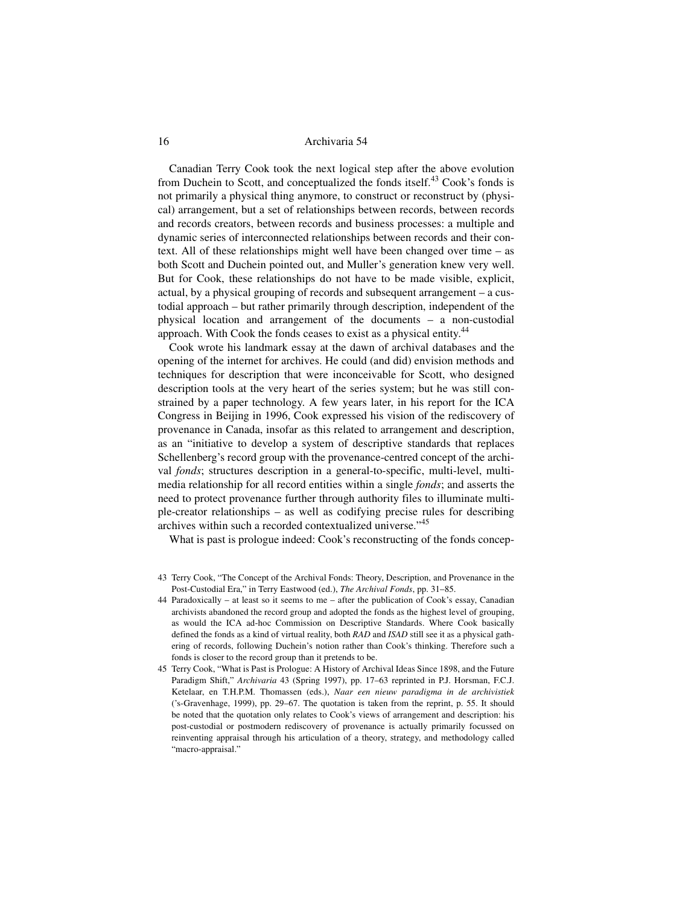Canadian Terry Cook took the next logical step after the above evolution from Duchein to Scott, and conceptualized the fonds itself.<sup>43</sup> Cook's fonds is not primarily a physical thing anymore, to construct or reconstruct by (physical) arrangement, but a set of relationships between records, between records and records creators, between records and business processes: a multiple and dynamic series of interconnected relationships between records and their context. All of these relationships might well have been changed over time – as both Scott and Duchein pointed out, and Muller's generation knew very well. But for Cook, these relationships do not have to be made visible, explicit, actual, by a physical grouping of records and subsequent arrangement – a custodial approach – but rather primarily through description, independent of the physical location and arrangement of the documents – a non-custodial approach. With Cook the fonds ceases to exist as a physical entity.<sup>44</sup>

Cook wrote his landmark essay at the dawn of archival databases and the opening of the internet for archives. He could (and did) envision methods and techniques for description that were inconceivable for Scott, who designed description tools at the very heart of the series system; but he was still constrained by a paper technology. A few years later, in his report for the ICA Congress in Beijing in 1996, Cook expressed his vision of the rediscovery of provenance in Canada, insofar as this related to arrangement and description, as an "initiative to develop a system of descriptive standards that replaces Schellenberg's record group with the provenance-centred concept of the archival *fonds*; structures description in a general-to-specific, multi-level, multimedia relationship for all record entities within a single *fonds*; and asserts the need to protect provenance further through authority files to illuminate multiple-creator relationships – as well as codifying precise rules for describing archives within such a recorded contextualized universe."<sup>45</sup>

What is past is prologue indeed: Cook's reconstructing of the fonds concep-

- 43 Terry Cook, "The Concept of the Archival Fonds: Theory, Description, and Provenance in the Post-Custodial Era," in Terry Eastwood (ed.), *The Archival Fonds*, pp. 31–85.
- 44 Paradoxically at least so it seems to me after the publication of Cook's essay, Canadian archivists abandoned the record group and adopted the fonds as the highest level of grouping, as would the ICA ad-hoc Commission on Descriptive Standards. Where Cook basically defined the fonds as a kind of virtual reality, both *RAD* and *ISAD* still see it as a physical gathering of records, following Duchein's notion rather than Cook's thinking. Therefore such a fonds is closer to the record group than it pretends to be.
- 45 Terry Cook, "What is Past is Prologue: A History of Archival Ideas Since 1898, and the Future Paradigm Shift," *Archivaria* 43 (Spring 1997), pp. 17–63 reprinted in P.J. Horsman, F.C.J. Ketelaar, en T.H.P.M. Thomassen (eds.), *Naar een nieuw paradigma in de archivistiek* ('s-Gravenhage, 1999), pp. 29–67. The quotation is taken from the reprint, p. 55. It should be noted that the quotation only relates to Cook's views of arrangement and description: his post-custodial or postmodern rediscovery of provenance is actually primarily focussed on reinventing appraisal through his articulation of a theory, strategy, and methodology called "macro-appraisal."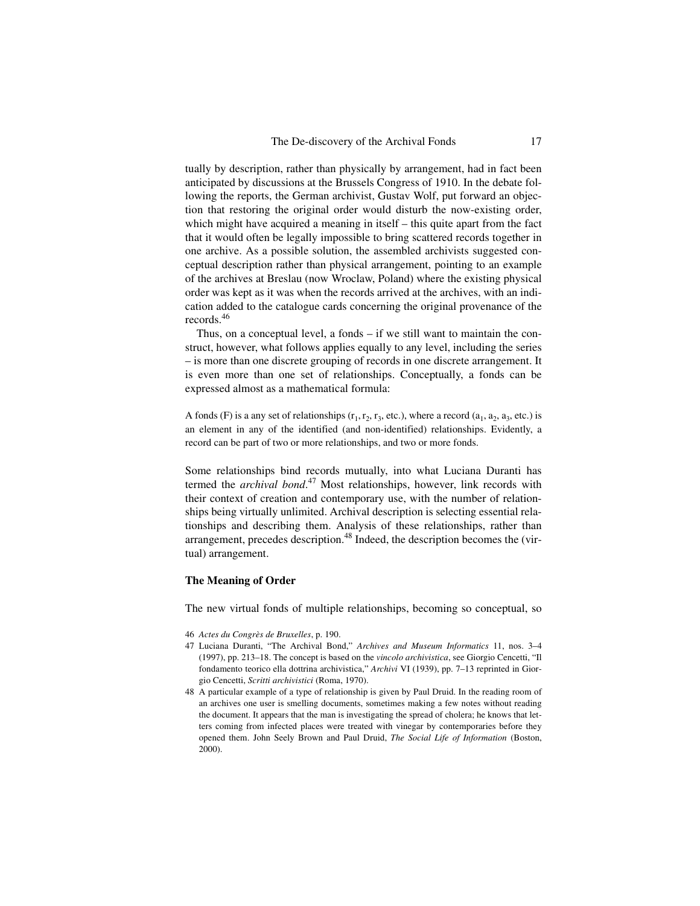tually by description, rather than physically by arrangement, had in fact been anticipated by discussions at the Brussels Congress of 1910. In the debate following the reports, the German archivist, Gustav Wolf, put forward an objection that restoring the original order would disturb the now-existing order, which might have acquired a meaning in itself – this quite apart from the fact that it would often be legally impossible to bring scattered records together in one archive. As a possible solution, the assembled archivists suggested conceptual description rather than physical arrangement, pointing to an example of the archives at Breslau (now Wroclaw, Poland) where the existing physical order was kept as it was when the records arrived at the archives, with an indication added to the catalogue cards concerning the original provenance of the records.<sup>46</sup>

Thus, on a conceptual level, a fonds – if we still want to maintain the construct, however, what follows applies equally to any level, including the series – is more than one discrete grouping of records in one discrete arrangement. It is even more than one set of relationships. Conceptually, a fonds can be expressed almost as a mathematical formula:

A fonds (F) is a any set of relationships  $(r_1, r_2, r_3,$  etc.), where a record  $(a_1, a_2, a_3,$  etc.) is an element in any of the identified (and non-identified) relationships. Evidently, a record can be part of two or more relationships, and two or more fonds.

Some relationships bind records mutually, into what Luciana Duranti has termed the *archival bond*. 47 Most relationships, however, link records with their context of creation and contemporary use, with the number of relationships being virtually unlimited. Archival description is selecting essential relationships and describing them. Analysis of these relationships, rather than arrangement, precedes description.<sup>48</sup> Indeed, the description becomes the (virtual) arrangement.

#### **The Meaning of Order**

The new virtual fonds of multiple relationships, becoming so conceptual, so

- 46 *Actes du Congrès de Bruxelles*, p. 190.
- 47 Luciana Duranti, "The Archival Bond," *Archives and Museum Informatics* 11, nos. 3–4 (1997), pp. 213–18. The concept is based on the *vincolo archivistica*, see Giorgio Cencetti, "Il fondamento teorico ella dottrina archivistica," *Archivi* VI (1939), pp. 7–13 reprinted in Giorgio Cencetti, *Scritti archivistici* (Roma, 1970).
- 48 A particular example of a type of relationship is given by Paul Druid. In the reading room of an archives one user is smelling documents, sometimes making a few notes without reading the document. It appears that the man is investigating the spread of cholera; he knows that letters coming from infected places were treated with vinegar by contemporaries before they opened them. John Seely Brown and Paul Druid, *The Social Life of Information* (Boston, 2000).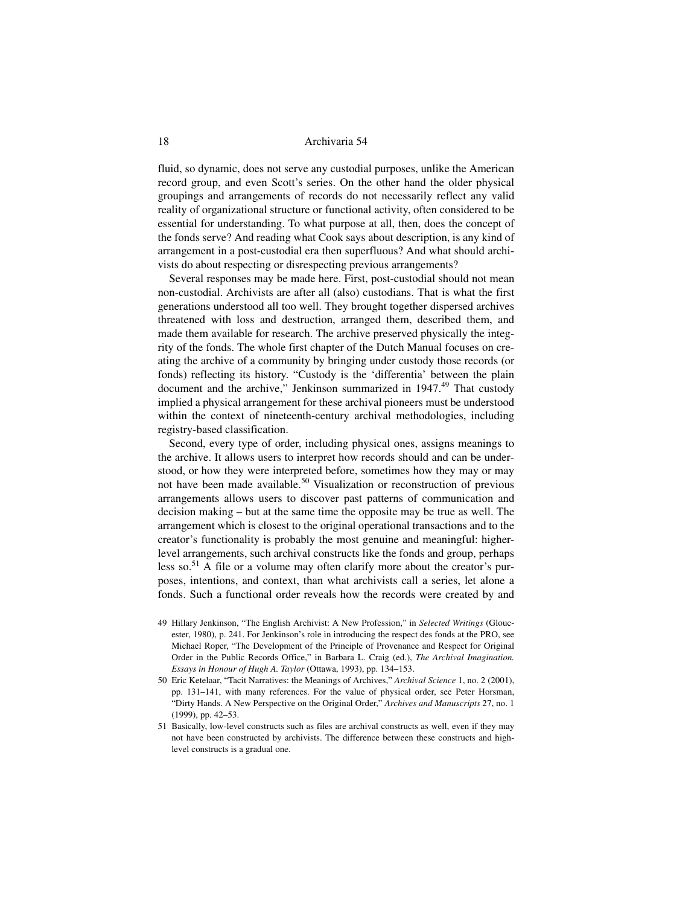fluid, so dynamic, does not serve any custodial purposes, unlike the American record group, and even Scott's series. On the other hand the older physical groupings and arrangements of records do not necessarily reflect any valid reality of organizational structure or functional activity, often considered to be essential for understanding. To what purpose at all, then, does the concept of the fonds serve? And reading what Cook says about description, is any kind of arrangement in a post-custodial era then superfluous? And what should archivists do about respecting or disrespecting previous arrangements?

Several responses may be made here. First, post-custodial should not mean non-custodial. Archivists are after all (also) custodians. That is what the first generations understood all too well. They brought together dispersed archives threatened with loss and destruction, arranged them, described them, and made them available for research. The archive preserved physically the integrity of the fonds. The whole first chapter of the Dutch Manual focuses on creating the archive of a community by bringing under custody those records (or fonds) reflecting its history. "Custody is the 'differentia' between the plain document and the archive," Jenkinson summarized in  $1947<sup>49</sup>$  That custody implied a physical arrangement for these archival pioneers must be understood within the context of nineteenth-century archival methodologies, including registry-based classification.

Second, every type of order, including physical ones, assigns meanings to the archive. It allows users to interpret how records should and can be understood, or how they were interpreted before, sometimes how they may or may not have been made available.<sup>50</sup> Visualization or reconstruction of previous arrangements allows users to discover past patterns of communication and decision making – but at the same time the opposite may be true as well. The arrangement which is closest to the original operational transactions and to the creator's functionality is probably the most genuine and meaningful: higherlevel arrangements, such archival constructs like the fonds and group, perhaps less so.<sup>51</sup> A file or a volume may often clarify more about the creator's purposes, intentions, and context, than what archivists call a series, let alone a fonds. Such a functional order reveals how the records were created by and

- 49 Hillary Jenkinson, "The English Archivist: A New Profession," in *Selected Writings* (Gloucester, 1980), p. 241. For Jenkinson's role in introducing the respect des fonds at the PRO, see Michael Roper, "The Development of the Principle of Provenance and Respect for Original Order in the Public Records Office," in Barbara L. Craig (ed.), *The Archival Imagination. Essays in Honour of Hugh A. Taylor* (Ottawa, 1993), pp. 134–153.
- 50 Eric Ketelaar, "Tacit Narratives: the Meanings of Archives," *Archival Science* 1, no. 2 (2001), pp. 131–141, with many references. For the value of physical order, see Peter Horsman, "Dirty Hands. A New Perspective on the Original Order," *Archives and Manuscripts* 27, no. 1 (1999), pp. 42–53.
- 51 Basically, low-level constructs such as files are archival constructs as well, even if they may not have been constructed by archivists. The difference between these constructs and highlevel constructs is a gradual one.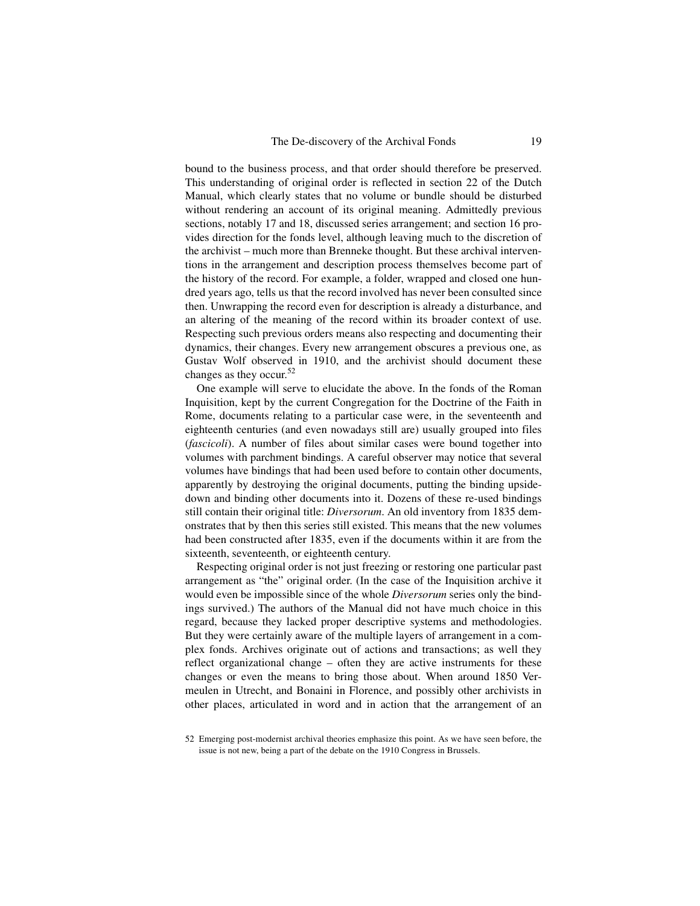bound to the business process, and that order should therefore be preserved. This understanding of original order is reflected in section 22 of the Dutch Manual, which clearly states that no volume or bundle should be disturbed without rendering an account of its original meaning. Admittedly previous sections, notably 17 and 18, discussed series arrangement; and section 16 provides direction for the fonds level, although leaving much to the discretion of the archivist – much more than Brenneke thought. But these archival interventions in the arrangement and description process themselves become part of the history of the record. For example, a folder, wrapped and closed one hundred years ago, tells us that the record involved has never been consulted since then. Unwrapping the record even for description is already a disturbance, and an altering of the meaning of the record within its broader context of use. Respecting such previous orders means also respecting and documenting their dynamics, their changes. Every new arrangement obscures a previous one, as Gustav Wolf observed in 1910, and the archivist should document these changes as they occur.<sup>52</sup>

One example will serve to elucidate the above. In the fonds of the Roman Inquisition, kept by the current Congregation for the Doctrine of the Faith in Rome, documents relating to a particular case were, in the seventeenth and eighteenth centuries (and even nowadays still are) usually grouped into files (*fascicoli*). A number of files about similar cases were bound together into volumes with parchment bindings. A careful observer may notice that several volumes have bindings that had been used before to contain other documents, apparently by destroying the original documents, putting the binding upsidedown and binding other documents into it. Dozens of these re-used bindings still contain their original title: *Diversorum*. An old inventory from 1835 demonstrates that by then this series still existed. This means that the new volumes had been constructed after 1835, even if the documents within it are from the sixteenth, seventeenth, or eighteenth century.

Respecting original order is not just freezing or restoring one particular past arrangement as "the" original order. (In the case of the Inquisition archive it would even be impossible since of the whole *Diversorum* series only the bindings survived.) The authors of the Manual did not have much choice in this regard, because they lacked proper descriptive systems and methodologies. But they were certainly aware of the multiple layers of arrangement in a complex fonds. Archives originate out of actions and transactions; as well they reflect organizational change – often they are active instruments for these changes or even the means to bring those about. When around 1850 Vermeulen in Utrecht, and Bonaini in Florence, and possibly other archivists in other places, articulated in word and in action that the arrangement of an

<sup>52</sup> Emerging post-modernist archival theories emphasize this point. As we have seen before, the issue is not new, being a part of the debate on the 1910 Congress in Brussels.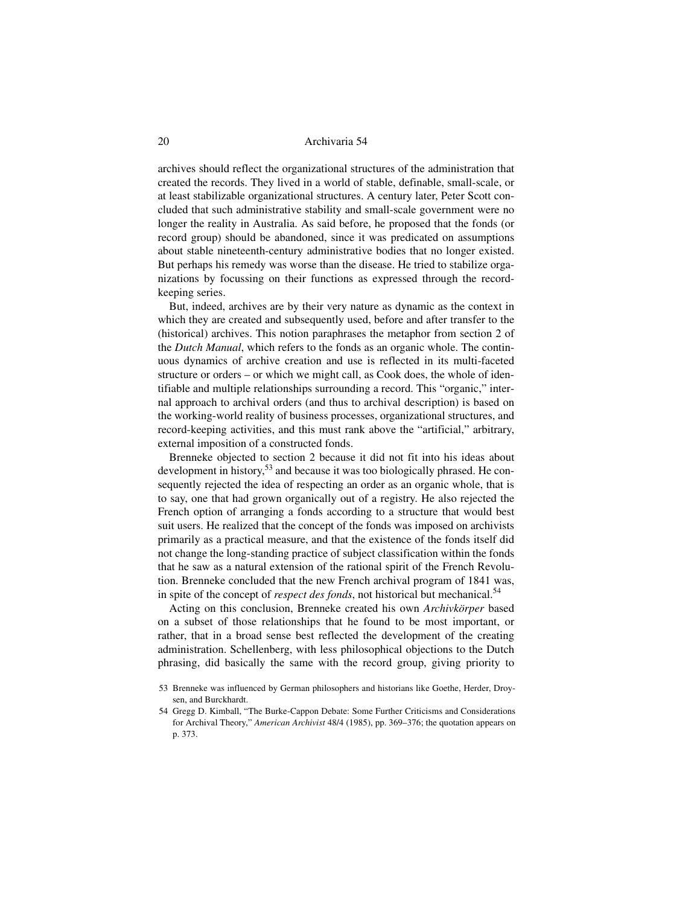archives should reflect the organizational structures of the administration that created the records. They lived in a world of stable, definable, small-scale, or at least stabilizable organizational structures. A century later, Peter Scott concluded that such administrative stability and small-scale government were no longer the reality in Australia. As said before, he proposed that the fonds (or record group) should be abandoned, since it was predicated on assumptions about stable nineteenth-century administrative bodies that no longer existed. But perhaps his remedy was worse than the disease. He tried to stabilize organizations by focussing on their functions as expressed through the recordkeeping series.

But, indeed, archives are by their very nature as dynamic as the context in which they are created and subsequently used, before and after transfer to the (historical) archives. This notion paraphrases the metaphor from section 2 of the *Dutch Manual*, which refers to the fonds as an organic whole. The continuous dynamics of archive creation and use is reflected in its multi-faceted structure or orders – or which we might call, as Cook does, the whole of identifiable and multiple relationships surrounding a record. This "organic," internal approach to archival orders (and thus to archival description) is based on the working-world reality of business processes, organizational structures, and record-keeping activities, and this must rank above the "artificial," arbitrary, external imposition of a constructed fonds.

Brenneke objected to section 2 because it did not fit into his ideas about development in history,<sup>53</sup> and because it was too biologically phrased. He consequently rejected the idea of respecting an order as an organic whole, that is to say, one that had grown organically out of a registry. He also rejected the French option of arranging a fonds according to a structure that would best suit users. He realized that the concept of the fonds was imposed on archivists primarily as a practical measure, and that the existence of the fonds itself did not change the long-standing practice of subject classification within the fonds that he saw as a natural extension of the rational spirit of the French Revolution. Brenneke concluded that the new French archival program of 1841 was, in spite of the concept of *respect des fonds*, not historical but mechanical.<sup>54</sup>

Acting on this conclusion, Brenneke created his own *Archivkörper* based on a subset of those relationships that he found to be most important, or rather, that in a broad sense best reflected the development of the creating administration. Schellenberg, with less philosophical objections to the Dutch phrasing, did basically the same with the record group, giving priority to

<sup>53</sup> Brenneke was influenced by German philosophers and historians like Goethe, Herder, Droysen, and Burckhardt.

<sup>54</sup> Gregg D. Kimball, "The Burke-Cappon Debate: Some Further Criticisms and Considerations for Archival Theory," *American Archivist* 48/4 (1985), pp. 369–376; the quotation appears on p. 373.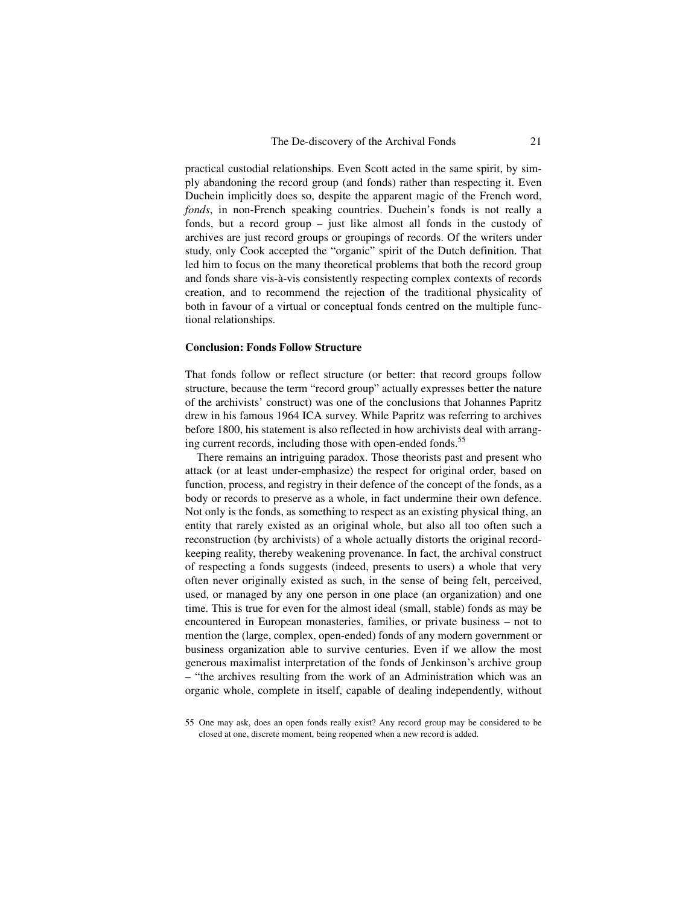practical custodial relationships. Even Scott acted in the same spirit, by simply abandoning the record group (and fonds) rather than respecting it. Even Duchein implicitly does so, despite the apparent magic of the French word, *fonds*, in non-French speaking countries. Duchein's fonds is not really a fonds, but a record group – just like almost all fonds in the custody of archives are just record groups or groupings of records. Of the writers under study, only Cook accepted the "organic" spirit of the Dutch definition. That led him to focus on the many theoretical problems that both the record group and fonds share vis-à-vis consistently respecting complex contexts of records creation, and to recommend the rejection of the traditional physicality of both in favour of a virtual or conceptual fonds centred on the multiple functional relationships.

#### **Conclusion: Fonds Follow Structure**

That fonds follow or reflect structure (or better: that record groups follow structure, because the term "record group" actually expresses better the nature of the archivists' construct) was one of the conclusions that Johannes Papritz drew in his famous 1964 ICA survey. While Papritz was referring to archives before 1800, his statement is also reflected in how archivists deal with arranging current records, including those with open-ended fonds.<sup>55</sup>

There remains an intriguing paradox. Those theorists past and present who attack (or at least under-emphasize) the respect for original order, based on function, process, and registry in their defence of the concept of the fonds, as a body or records to preserve as a whole, in fact undermine their own defence. Not only is the fonds, as something to respect as an existing physical thing, an entity that rarely existed as an original whole, but also all too often such a reconstruction (by archivists) of a whole actually distorts the original recordkeeping reality, thereby weakening provenance. In fact, the archival construct of respecting a fonds suggests (indeed, presents to users) a whole that very often never originally existed as such, in the sense of being felt, perceived, used, or managed by any one person in one place (an organization) and one time. This is true for even for the almost ideal (small, stable) fonds as may be encountered in European monasteries, families, or private business – not to mention the (large, complex, open-ended) fonds of any modern government or business organization able to survive centuries. Even if we allow the most generous maximalist interpretation of the fonds of Jenkinson's archive group – "the archives resulting from the work of an Administration which was an organic whole, complete in itself, capable of dealing independently, without

<sup>55</sup> One may ask, does an open fonds really exist? Any record group may be considered to be closed at one, discrete moment, being reopened when a new record is added.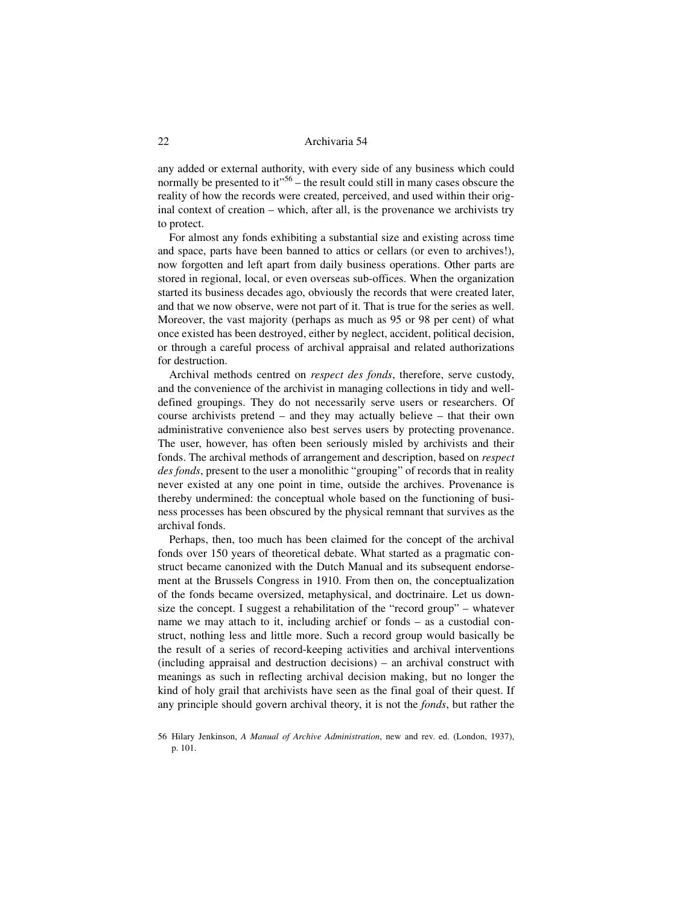any added or external authority, with every side of any business which could normally be presented to it"<sup>56</sup> – the result could still in many cases obscure the reality of how the records were created, perceived, and used within their original context of creation – which, after all, is the provenance we archivists try to protect.

For almost any fonds exhibiting a substantial size and existing across time and space, parts have been banned to attics or cellars (or even to archives!), now forgotten and left apart from daily business operations. Other parts are stored in regional, local, or even overseas sub-offices. When the organization started its business decades ago, obviously the records that were created later, and that we now observe, were not part of it. That is true for the series as well. Moreover, the vast majority (perhaps as much as 95 or 98 per cent) of what once existed has been destroyed, either by neglect, accident, political decision, or through a careful process of archival appraisal and related authorizations for destruction.

Archival methods centred on *respect des fonds*, therefore, serve custody, and the convenience of the archivist in managing collections in tidy and welldefined groupings. They do not necessarily serve users or researchers. Of course archivists pretend – and they may actually believe – that their own administrative convenience also best serves users by protecting provenance. The user, however, has often been seriously misled by archivists and their fonds. The archival methods of arrangement and description, based on *respect des fonds*, present to the user a monolithic "grouping" of records that in reality never existed at any one point in time, outside the archives. Provenance is thereby undermined: the conceptual whole based on the functioning of business processes has been obscured by the physical remnant that survives as the archival fonds.

Perhaps, then, too much has been claimed for the concept of the archival fonds over 150 years of theoretical debate. What started as a pragmatic construct became canonized with the Dutch Manual and its subsequent endorsement at the Brussels Congress in 1910. From then on, the conceptualization of the fonds became oversized, metaphysical, and doctrinaire. Let us downsize the concept. I suggest a rehabilitation of the "record group" – whatever name we may attach to it, including archief or fonds – as a custodial construct, nothing less and little more. Such a record group would basically be the result of a series of record-keeping activities and archival interventions (including appraisal and destruction decisions) – an archival construct with meanings as such in reflecting archival decision making, but no longer the kind of holy grail that archivists have seen as the final goal of their quest. If any principle should govern archival theory, it is not the *fonds*, but rather the

<sup>56</sup> Hilary Jenkinson, *A Manual of Archive Administration*, new and rev. ed. (London, 1937), p. 101.